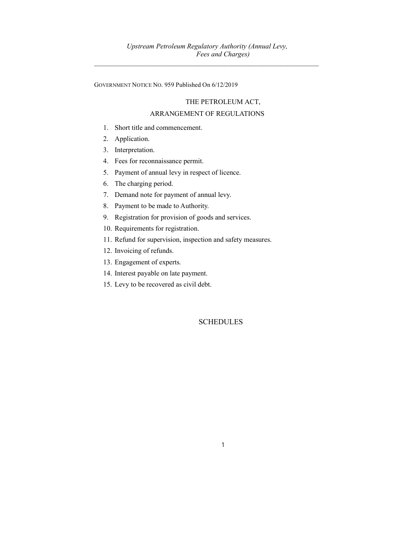GOVERNMENT NOTICE NO. 959 Published On 6/12/2019

## THE PETROLEUM ACT,

## ARRANGEMENT OF REGULATIONS

- 1. Short title and commencement.
- 2. Application.
- 3. Interpretation.
- 4. Fees for reconnaissance permit.
- 5. Payment of annual levy in respect of licence.
- 6. The charging period.
- 7. Demand note for payment of annual levy.
- 8. Payment to be made to Authority.
- 9. Registration for provision of goods and services.
- 10. Requirements for registration.
- 11. Refund for supervision, inspection and safety measures.
- 12. Invoicing of refunds.
- 13. Engagement of experts.
- 14. Interest payable on late payment.
- 15. Levy to be recovered as civil debt.

**SCHEDULES**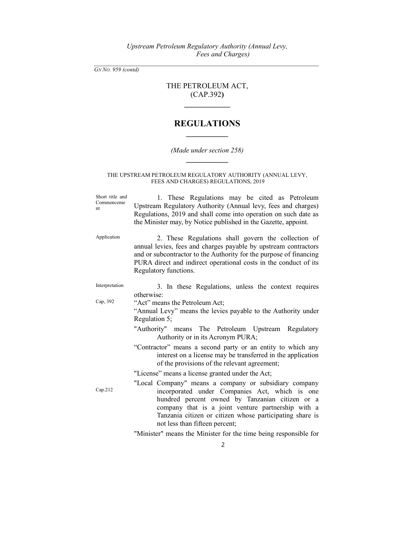# THE PETROLEUM ACT, (CAP.392)

 $\mathcal{L}=\mathcal{L}^{\mathcal{L}}$ 

# REGULATIONS  $\frac{1}{2}$  ,  $\frac{1}{2}$  ,  $\frac{1}{2}$  ,  $\frac{1}{2}$  ,  $\frac{1}{2}$  ,  $\frac{1}{2}$  ,  $\frac{1}{2}$

## (Made under section 258)  $\frac{1}{2}$

### THE UPSTREAM PETROLEUM REGULATORY AUTHORITY (ANNUAL LEVY, FEES AND CHARGES) REGULATIONS, 2019

| Short title and<br>Commenceme<br>nt | 1. These Regulations may be cited as Petroleum<br>Upstream Regulatory Authority (Annual levy, fees and charges)<br>Regulations, 2019 and shall come into operation on such date as<br>the Minister may, by Notice published in the Gazette, appoint.                                                           |  |  |
|-------------------------------------|----------------------------------------------------------------------------------------------------------------------------------------------------------------------------------------------------------------------------------------------------------------------------------------------------------------|--|--|
| Application                         | 2. These Regulations shall govern the collection of<br>annual levies, fees and charges payable by upstream contractors<br>and or subcontractor to the Authority for the purpose of financing<br>PURA direct and indirect operational costs in the conduct of its<br>Regulatory functions.                      |  |  |
| Interpretation                      | 3. In these Regulations, unless the context requires<br>otherwise:                                                                                                                                                                                                                                             |  |  |
| Cap, 392                            | "Act" means the Petroleum Act;<br>"Annual Levy" means the levies payable to the Authority under<br>Regulation 5;                                                                                                                                                                                               |  |  |
|                                     | "Authority" means The Petroleum Upstream Regulatory<br>Authority or in its Acronym PURA;                                                                                                                                                                                                                       |  |  |
|                                     | "Contractor" means a second party or an entity to which any<br>interest on a license may be transferred in the application<br>of the provisions of the relevant agreement;                                                                                                                                     |  |  |
|                                     | "License" means a license granted under the Act;                                                                                                                                                                                                                                                               |  |  |
| Cap.212                             | "Local Company" means a company or subsidiary company<br>incorporated under Companies Act, which is one<br>hundred percent owned by Tanzanian citizen or a<br>company that is a joint venture partnership with a<br>Tanzania citizen or citizen whose participating share is<br>not less than fifteen percent; |  |  |
|                                     | "Minister" means the Minister for the time being responsible for                                                                                                                                                                                                                                               |  |  |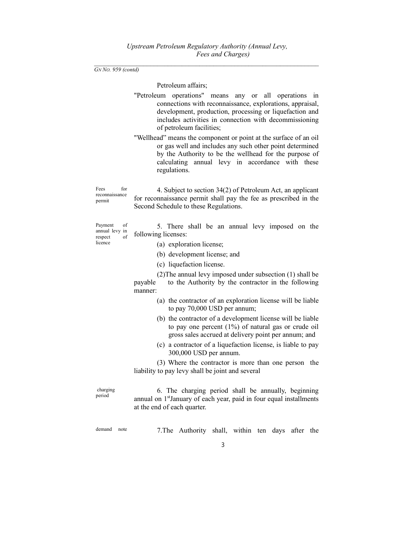$\mathcal{L}_\text{max} = \frac{1}{2} \sum_{i=1}^n \mathcal{L}_\text{max}(\mathbf{z}_i - \mathbf{z}_i)$ GN No. 959 (contd)

Petroleum affairs;

- "Petroleum operations" means any or all operations in connections with reconnaissance, explorations, appraisal, development, production, processing or liquefaction and includes activities in connection with decommissioning of petroleum facilities;
- "Wellhead" means the component or point at the surface of an oil or gas well and includes any such other point determined by the Authority to be the wellhead for the purpose of calculating annual levy in accordance with these regulations.

Fees for reconnaissance permit 4. Subject to section 34(2) of Petroleum Act, an applicant for reconnaissance permit shall pay the fee as prescribed in the Second Schedule to these Regulations.

Payment of annual levy in respect of licence

- 5. There shall be an annual levy imposed on the following licenses:
	- (a) exploration license;
	- (b) development license; and
	- (c) liquefaction license.

 (2)The annual levy imposed under subsection (1) shall be payable to the Authority by the contractor in the following manner:

- (a) the contractor of an exploration license will be liable to pay 70,000 USD per annum;
- (b) the contractor of a development license will be liable to pay one percent (1%) of natural gas or crude oil gross sales accrued at delivery point per annum; and
- (c) a contractor of a liquefaction license, is liable to pay 300,000 USD per annum.

 (3) Where the contractor is more than one person the liability to pay levy shall be joint and several

 charging period

 6. The charging period shall be annually, beginning annual on 1<sup>st</sup>January of each year, paid in four equal installments at the end of each quarter.

demand note 7.The Authority shall, within ten days after the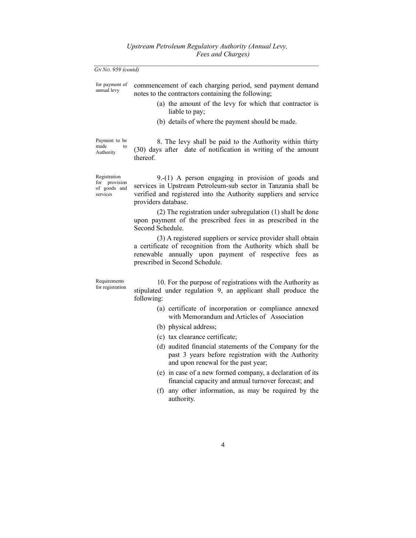for payment of annual levy commencement of each charging period, send payment demand notes to the contractors containing the following;

- (a) the amount of the levy for which that contractor is liable to pay;
- (b) details of where the payment should be made.

Payment to be made Authority

 8. The levy shall be paid to the Authority within thirty (30) days after date of notification in writing of the amount thereof.

Registration for provision of goods and services

 9.-(1) A person engaging in provision of goods and services in Upstream Petroleum-sub sector in Tanzania shall be verified and registered into the Authority suppliers and service providers database.

 (2) The registration under subregulation (1) shall be done upon payment of the prescribed fees in as prescribed in the Second Schedule.

 (3) A registered suppliers or service provider shall obtain a certificate of recognition from the Authority which shall be renewable annually upon payment of respective fees as prescribed in Second Schedule.

Requirements for registration

 10. For the purpose of registrations with the Authority as stipulated under regulation 9, an applicant shall produce the following:

- (a) certificate of incorporation or compliance annexed with Memorandum and Articles of Association
- (b) physical address;
- (c) tax clearance certificate;
- (d) audited financial statements of the Company for the past 3 years before registration with the Authority and upon renewal for the past year;
- (e) in case of a new formed company, a declaration of its financial capacity and annual turnover forecast; and
- (f) any other information, as may be required by the authority.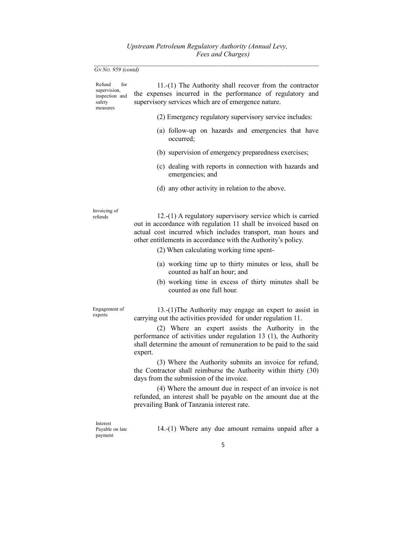| Refund<br>for<br>supervision,<br>inspection and<br>safety<br>measures | 11.-(1) The Authority shall recover from the contractor<br>the expenses incurred in the performance of regulatory and<br>supervisory services which are of emergence nature.                                                                                                                              |
|-----------------------------------------------------------------------|-----------------------------------------------------------------------------------------------------------------------------------------------------------------------------------------------------------------------------------------------------------------------------------------------------------|
|                                                                       | (2) Emergency regulatory supervisory service includes:                                                                                                                                                                                                                                                    |
|                                                                       | (a) follow-up on hazards and emergencies that have<br>occurred;                                                                                                                                                                                                                                           |
|                                                                       | (b) supervision of emergency preparedness exercises;                                                                                                                                                                                                                                                      |
|                                                                       | (c) dealing with reports in connection with hazards and<br>emergencies; and                                                                                                                                                                                                                               |
|                                                                       | (d) any other activity in relation to the above.                                                                                                                                                                                                                                                          |
| Invoicing of<br>refunds                                               | 12.-(1) A regulatory supervisory service which is carried<br>out in accordance with regulation 11 shall be invoiced based on<br>actual cost incurred which includes transport, man hours and<br>other entitlements in accordance with the Authority's policy.<br>(2) When calculating working time spent- |
|                                                                       | (a) working time up to thirty minutes or less, shall be<br>counted as half an hour; and                                                                                                                                                                                                                   |
|                                                                       | (b) working time in excess of thirty minutes shall be<br>counted as one full hour.                                                                                                                                                                                                                        |
| Engagement of<br>experts                                              | 13.-(1)The Authority may engage an expert to assist in<br>carrying out the activities provided for under regulation 11.                                                                                                                                                                                   |
|                                                                       | (2) Where an expert assists the Authority in the<br>performance of activities under regulation 13 (1), the Authority<br>shall determine the amount of remuneration to be paid to the said<br>expert.                                                                                                      |
|                                                                       | (3) Where the Authority submits an invoice for refund,<br>the Contractor shall reimburse the Authority within thirty (30)<br>days from the submission of the invoice.                                                                                                                                     |
|                                                                       | (4) Where the amount due in respect of an invoice is not<br>refunded, an interest shall be payable on the amount due at the<br>prevailing Bank of Tanzania interest rate.                                                                                                                                 |
| Interest<br>Payable on late<br>payment                                | 14.-(1) Where any due amount remains unpaid after a                                                                                                                                                                                                                                                       |
|                                                                       | 5                                                                                                                                                                                                                                                                                                         |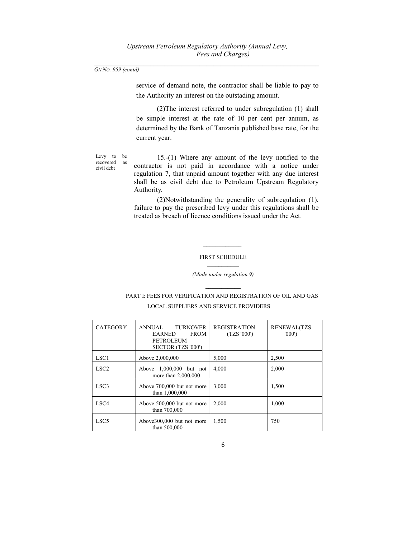service of demand note, the contractor shall be liable to pay to the Authority an interest on the outstading amount.

 (2)The interest referred to under subregulation (1) shall be simple interest at the rate of 10 per cent per annum, as determined by the Bank of Tanzania published base rate, for the current year.

Levy to be recovered as civil debt

 15.-(1) Where any amount of the levy notified to the contractor is not paid in accordance with a notice under regulation 7, that unpaid amount together with any due interest shall be as civil debt due to Petroleum Upstream Regulatory Authority.

 (2)Notwithstanding the generality of subregulation (1), failure to pay the prescribed levy under this regulations shall be treated as breach of licence conditions issued under the Act.

### FIRST SCHEDULE

#### (Made under regulation 9)

## PART I: FEES FOR VERIFICATION AND REGISTRATION OF OIL AND GAS LOCAL SUPPLIERS AND SERVICE PROVIDERS

| <b>CATEGORY</b>  | <b>TURNOVER</b><br><b>ANNUAL</b><br><b>FROM</b><br><b>EARNED</b><br><b>PETROLEUM</b><br>SECTOR (TZS '000') | <b>REGISTRATION</b><br>(TZS'000') | <b>RENEWAL(TZS</b><br>'000' |
|------------------|------------------------------------------------------------------------------------------------------------|-----------------------------------|-----------------------------|
| LSC <sub>1</sub> | Above 2,000,000                                                                                            | 5,000                             | 2,500                       |
| LSC <sub>2</sub> | Above 1,000,000 but not<br>more than $2,000,000$                                                           | 4,000                             | 2,000                       |
| LSC <sub>3</sub> | Above 700,000 but not more<br>than 1,000,000                                                               | 3,000                             | 1,500                       |
| LSC <sub>4</sub> | Above 500,000 but not more<br>than 700,000                                                                 | 2.000                             | 1.000                       |
| LSC <sub>5</sub> | Above 300,000 but not more<br>than 500,000                                                                 | 1,500                             | 750                         |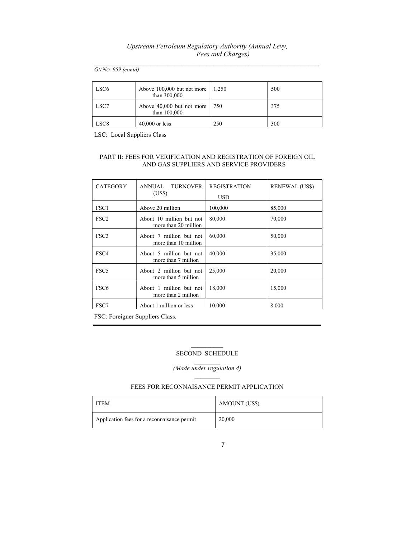### Upstream Petroleum Regulatory Authority (Annual Levy, Fees and Charges)  $\mathcal{L}_\text{max} = \frac{1}{2} \sum_{i=1}^n \mathcal{L}_\text{max}(\mathbf{z}_i - \mathbf{z}_i)$

GN No. 959 (contd)

| LSC6             | Above $100,000$ but not more<br>than 300,000 | 1.250 | 500 |
|------------------|----------------------------------------------|-------|-----|
| LSC7             | Above 40,000 but not more<br>than 100,000    | 750   | 375 |
| LSC <sub>8</sub> | $40,000$ or less                             | 250   | 300 |

LSC: Local Suppliers Class

### PART II: FEES FOR VERIFICATION AND REGISTRATION OF FOREIGN OIL AND GAS SUPPLIERS AND SERVICE PROVIDERS

| <b>CATEGORY</b>  | <b>TURNOVER</b><br>ANNUAL.<br>(US\$)             | <b>REGISTRATION</b><br><b>USD</b> | <b>RENEWAL</b> (US\$) |
|------------------|--------------------------------------------------|-----------------------------------|-----------------------|
| FSC <sub>1</sub> | Above 20 million                                 | 100,000                           | 85,000                |
| FSC <sub>2</sub> | About 10 million but not<br>more than 20 million | 80,000                            | 70,000                |
| FSC3             | About 7 million but not<br>more than 10 million  | 60,000                            | 50,000                |
| FSC4             | About 5 million but not<br>more than 7 million   | 40,000                            | 35,000                |
| FSC <sub>5</sub> | About 2 million but not<br>more than 5 million   | 25,000                            | 20,000                |
| FSC <sub>6</sub> | About 1 million but not<br>more than 2 million   | 18,000                            | 15,000                |
| FSC7             | About 1 million or less                          | 10,000                            | 8.000                 |

FSC: Foreigner Suppliers Class.

### $\mathcal{L}=\mathcal{L}^{\mathcal{L}}$ SECOND SCHEDULE

(Made under regulation 4)

### FEES FOR RECONNAISANCE PERMIT APPLICATION

| <b>ITEM</b>                                 | AMOUNT (US\$) |
|---------------------------------------------|---------------|
| Application fees for a reconnaisance permit | 20,000        |